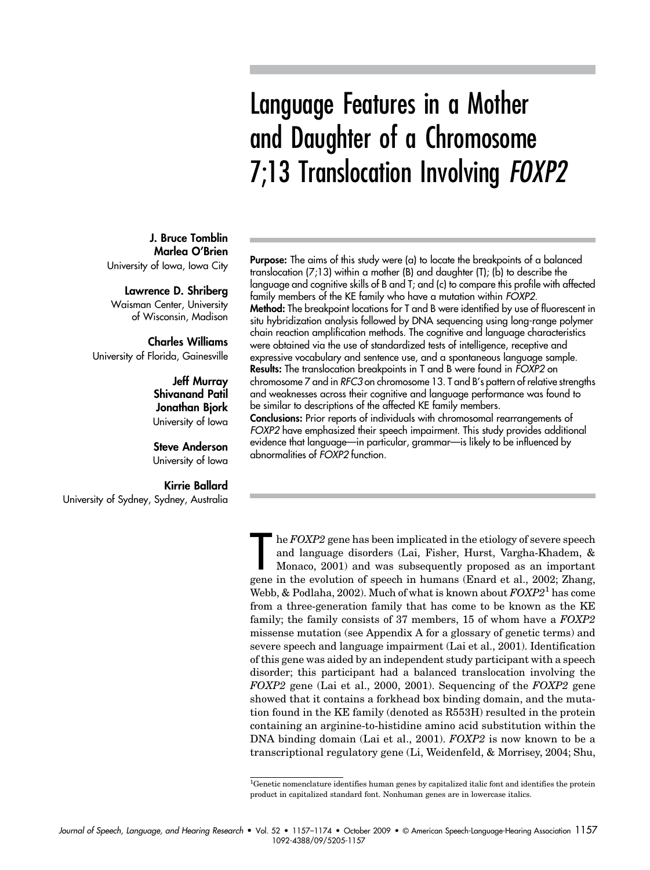# Language Features in a Mother and Daughter of a Chromosome 7;13 Translocation Involving *FOXP2*

Purpose: The aims of this study were (a) to locate the breakpoints of a balanced translocation (7;13) within a mother (B) and daughter (T); (b) to describe the language and cognitive skills of B and T; and (c) to compare this profile with affected family members of the KE family who have a mutation within FOXP2. Method: The breakpoint locations for T and B were identified by use of fluorescent in situ hybridization analysis followed by DNA sequencing using long-range polymer chain reaction amplification methods. The cognitive and language characteristics were obtained via the use of standardized tests of intelligence, receptive and expressive vocabulary and sentence use, and a spontaneous language sample. Results: The translocation breakpoints in T and B were found in FOXP2 on chromosome 7 and in RFC3 on chromosome 13. T and B's pattern of relative strengths and weaknesses across their cognitive and language performance was found to be similar to descriptions of the affected KE family members.

Conclusions: Prior reports of individuals with chromosomal rearrangements of FOXP2 have emphasized their speech impairment. This study provides additional evidence that language—in particular, grammar—is likely to be influenced by abnormalities of FOXP2 function.

he FOXP2 gene has been implicated in the etiology of severe speech and language disorders (Lai, Fisher, Hurst, Vargha-Khadem, & Monaco, 2001) and was subsequently proposed as an important gene in the evolution of speech in he FOXP2 gene has been implicated in the etiology of severe speech and language disorders (Lai, Fisher, Hurst, Vargha-Khadem, & Monaco, 2001) and was subsequently proposed as an important Webb, & Podlaha, 2002). Much of what is known about  $FOXP2<sup>1</sup>$  has come from a three-generation family that has come to be known as the KE family; the family consists of 37 members, 15 of whom have a FOXP2 missense mutation (see Appendix A for a glossary of genetic terms) and severe speech and language impairment (Lai et al., 2001). Identification of this gene was aided by an independent study participant with a speech disorder; this participant had a balanced translocation involving the FOXP2 gene (Lai et al., 2000, 2001). Sequencing of the FOXP2 gene showed that it contains a forkhead box binding domain, and the mutation found in the KE family (denoted as R553H) resulted in the protein containing an arginine-to-histidine amino acid substitution within the DNA binding domain (Lai et al., 2001). FOXP2 is now known to be a transcriptional regulatory gene (Li, Weidenfeld, & Morrisey, 2004; Shu,

J. Bruce Tomblin Marlea O*'*Brien University of Iowa, Iowa City

Lawrence D. Shriberg Waisman Center, University of Wisconsin, Madison

Charles Williams University of Florida, Gainesville

> Jeff Murray Shivanand Patil Jonathan Bjork University of Iowa

Steve Anderson University of Iowa

Kirrie Ballard University of Sydney, Sydney, Australia

<sup>&</sup>lt;sup>1</sup>Genetic nomenclature identifies human genes by capitalized italic font and identifies the protein product in capitalized standard font. Nonhuman genes are in lowercase italics.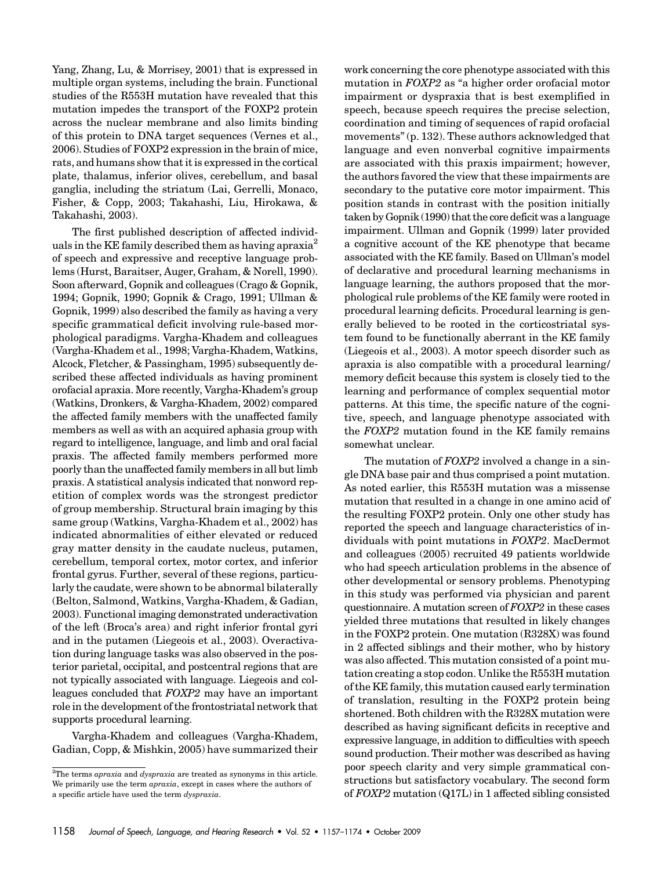Yang, Zhang, Lu, & Morrisey, 2001) that is expressed in multiple organ systems, including the brain. Functional studies of the R553H mutation have revealed that this mutation impedes the transport of the FOXP2 protein across the nuclear membrane and also limits binding of this protein to DNA target sequences (Vernes et al., 2006). Studies of FOXP2 expression in the brain of mice, rats, and humans show that it is expressed in the cortical plate, thalamus, inferior olives, cerebellum, and basal ganglia, including the striatum (Lai, Gerrelli, Monaco, Fisher, & Copp, 2003; Takahashi, Liu, Hirokawa, & Takahashi, 2003).

The first published description of affected individuals in the KE family described them as having apraxia<sup>2</sup> of speech and expressive and receptive language problems (Hurst, Baraitser, Auger, Graham, & Norell, 1990). Soon afterward, Gopnik and colleagues (Crago & Gopnik, 1994; Gopnik, 1990; Gopnik & Crago, 1991; Ullman & Gopnik, 1999) also described the family as having a very specific grammatical deficit involving rule-based morphological paradigms. Vargha-Khadem and colleagues (Vargha-Khadem et al., 1998; Vargha-Khadem, Watkins, Alcock, Fletcher, & Passingham, 1995) subsequently described these affected individuals as having prominent orofacial apraxia. More recently, Vargha-Khadem's group (Watkins, Dronkers, & Vargha-Khadem, 2002) compared the affected family members with the unaffected family members as well as with an acquired aphasia group with regard to intelligence, language, and limb and oral facial praxis. The affected family members performed more poorly than the unaffected family members in all but limb praxis. A statistical analysis indicated that nonword repetition of complex words was the strongest predictor of group membership. Structural brain imaging by this same group (Watkins, Vargha-Khadem et al., 2002) has indicated abnormalities of either elevated or reduced gray matter density in the caudate nucleus, putamen, cerebellum, temporal cortex, motor cortex, and inferior frontal gyrus. Further, several of these regions, particularly the caudate, were shown to be abnormal bilaterally (Belton, Salmond, Watkins, Vargha-Khadem, & Gadian, 2003). Functional imaging demonstrated underactivation of the left (Broca's area) and right inferior frontal gyri and in the putamen (Liegeois et al., 2003). Overactivation during language tasks was also observed in the posterior parietal, occipital, and postcentral regions that are not typically associated with language. Liegeois and colleagues concluded that FOXP2 may have an important role in the development of the frontostriatal network that supports procedural learning.

Vargha-Khadem and colleagues (Vargha-Khadem, Gadian, Copp, & Mishkin, 2005) have summarized their work concerning the core phenotype associated with this mutation in FOXP2 as "a higher order orofacial motor impairment or dyspraxia that is best exemplified in speech, because speech requires the precise selection, coordination and timing of sequences of rapid orofacial movements" (p. 132). These authors acknowledged that language and even nonverbal cognitive impairments are associated with this praxis impairment; however, the authors favored the view that these impairments are secondary to the putative core motor impairment. This position stands in contrast with the position initially taken by Gopnik (1990) that the core deficit was a language impairment. Ullman and Gopnik (1999) later provided a cognitive account of the KE phenotype that became associated with the KE family. Based on Ullman's model of declarative and procedural learning mechanisms in language learning, the authors proposed that the morphological rule problems of the KE family were rooted in procedural learning deficits. Procedural learning is generally believed to be rooted in the corticostriatal system found to be functionally aberrant in the KE family (Liegeois et al., 2003). A motor speech disorder such as apraxia is also compatible with a procedural learning/ memory deficit because this system is closely tied to the learning and performance of complex sequential motor patterns. At this time, the specific nature of the cognitive, speech, and language phenotype associated with the FOXP2 mutation found in the KE family remains somewhat unclear.

The mutation of FOXP2 involved a change in a single DNA base pair and thus comprised a point mutation. As noted earlier, this R553H mutation was a missense mutation that resulted in a change in one amino acid of the resulting FOXP2 protein. Only one other study has reported the speech and language characteristics of individuals with point mutations in FOXP2. MacDermot and colleagues (2005) recruited 49 patients worldwide who had speech articulation problems in the absence of other developmental or sensory problems. Phenotyping in this study was performed via physician and parent questionnaire. A mutation screen of FOXP2 in these cases yielded three mutations that resulted in likely changes in the FOXP2 protein. One mutation (R328X) was found in 2 affected siblings and their mother, who by history was also affected. This mutation consisted of a point mutation creating a stop codon. Unlike the R553H mutation of the KE family, this mutation caused early termination of translation, resulting in the FOXP2 protein being shortened. Both children with the R328X mutation were described as having significant deficits in receptive and expressive language, in addition to difficulties with speech sound production. Their mother was described as having poor speech clarity and very simple grammatical constructions but satisfactory vocabulary. The second form of FOXP2 mutation (Q17L) in 1 affected sibling consisted

<sup>&</sup>lt;sup>2</sup>The terms *apraxia* and *dyspraxia* are treated as synonyms in this article. We primarily use the term *apraxia*, except in cases where the authors of a specific article have used the term dyspraxia.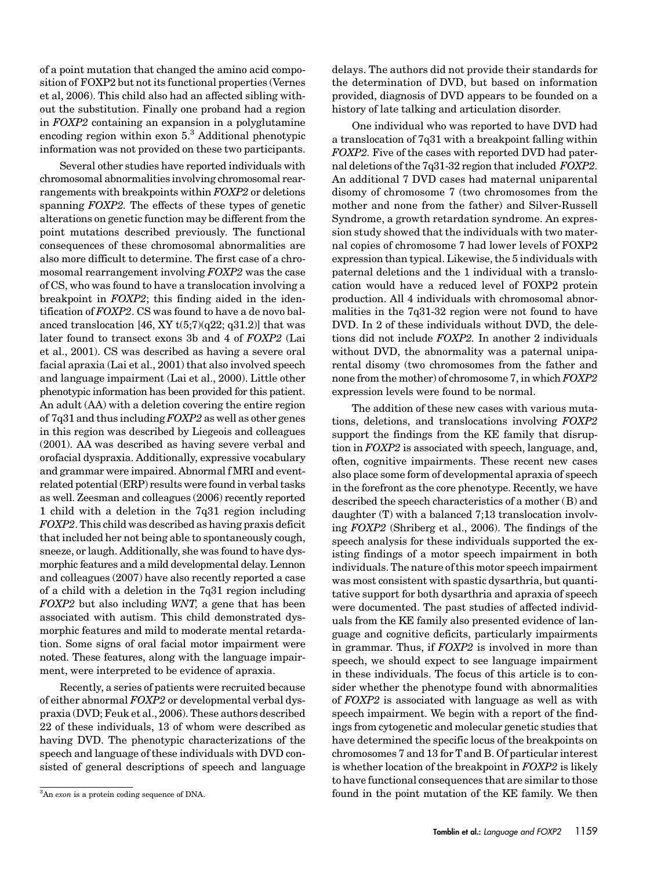of a point mutation that changed the amino acid composition of FOXP2 but not its functional properties (Vernes et al, 2006). This child also had an affected sibling without the substitution. Finally one proband had a region in FOXP2 containing an expansion in a polyglutamine encoding region within exon  $5<sup>3</sup>$  Additional phenotypic information was not provided on these two participants.

Several other studies have reported individuals with chromosomal abnormalities involving chromosomal rearrangements with breakpoints within FOXP2 or deletions spanning FOXP2. The effects of these types of genetic alterations on genetic function may be different from the point mutations described previously. The functional consequences of these chromosomal abnormalities are also more difficult to determine. The first case of a chromosomal rearrangement involving FOXP2 was the case of CS, who was found to have a translocation involving a breakpoint in FOXP2; this finding aided in the identification of FOXP2. CS was found to have a de novo balanced translocation  $[46, XY t(5,7)(q22; q31.2)]$  that was later found to transect exons 3b and 4 of FOXP2 (Lai et al., 2001). CS was described as having a severe oral facial apraxia (Lai et al., 2001) that also involved speech and language impairment (Lai et al., 2000). Little other phenotypic information has been provided for this patient. An adult (AA) with a deletion covering the entire region of 7q31 and thus including FOXP2 as well as other genes in this region was described by Liegeois and colleagues (2001). AA was described as having severe verbal and orofacial dyspraxia. Additionally, expressive vocabulary and grammar were impaired. Abnormal fMRI and eventrelated potential (ERP) results were found in verbal tasks as well. Zeesman and colleagues (2006) recently reported 1 child with a deletion in the 7q31 region including FOXP2. This child was described as having praxis deficit that included her not being able to spontaneously cough, sneeze, or laugh. Additionally, she was found to have dysmorphic features and a mild developmental delay. Lennon and colleagues (2007) have also recently reported a case of a child with a deletion in the 7q31 region including FOXP2 but also including WNT, a gene that has been associated with autism. This child demonstrated dysmorphic features and mild to moderate mental retardation. Some signs of oral facial motor impairment were noted. These features, along with the language impairment, were interpreted to be evidence of apraxia.

Recently, a series of patients were recruited because of either abnormal FOXP2 or developmental verbal dyspraxia (DVD; Feuk et al., 2006). These authors described 22 of these individuals, 13 of whom were described as having DVD. The phenotypic characterizations of the speech and language of these individuals with DVD consisted of general descriptions of speech and language delays. The authors did not provide their standards for the determination of DVD, but based on information provided, diagnosis of DVD appears to be founded on a history of late talking and articulation disorder.

One individual who was reported to have DVD had a translocation of 7q31 with a breakpoint falling within FOXP2. Five of the cases with reported DVD had paternal deletions of the 7q31-32 region that included FOXP2. An additional 7 DVD cases had maternal uniparental disomy of chromosome 7 (two chromosomes from the mother and none from the father) and Silver-Russell Syndrome, a growth retardation syndrome. An expression study showed that the individuals with two maternal copies of chromosome 7 had lower levels of FOXP2 expression than typical. Likewise, the 5 individuals with paternal deletions and the 1 individual with a translocation would have a reduced level of FOXP2 protein production. All 4 individuals with chromosomal abnormalities in the 7q31-32 region were not found to have DVD. In 2 of these individuals without DVD, the deletions did not include FOXP2. In another 2 individuals without DVD, the abnormality was a paternal uniparental disomy (two chromosomes from the father and none from the mother) of chromosome 7, in which FOXP2 expression levels were found to be normal.

The addition of these new cases with various mutations, deletions, and translocations involving FOXP2 support the findings from the KE family that disruption in FOXP2 is associated with speech, language, and, often, cognitive impairments. These recent new cases also place some form of developmental apraxia of speech in the forefront as the core phenotype. Recently, we have described the speech characteristics of a mother (B) and daughter (T) with a balanced 7;13 translocation involving FOXP2 (Shriberg et al., 2006). The findings of the speech analysis for these individuals supported the existing findings of a motor speech impairment in both individuals. The nature of this motor speech impairment was most consistent with spastic dysarthria, but quantitative support for both dysarthria and apraxia of speech were documented. The past studies of affected individuals from the KE family also presented evidence of language and cognitive deficits, particularly impairments in grammar. Thus, if FOXP2 is involved in more than speech, we should expect to see language impairment in these individuals. The focus of this article is to consider whether the phenotype found with abnormalities of FOXP2 is associated with language as well as with speech impairment. We begin with a report of the findings from cytogenetic and molecular genetic studies that have determined the specific locus of the breakpoints on chromosomes 7 and 13 for T and B. Of particular interest is whether location of the breakpoint in FOXP2 is likely to have functional consequences that are similar to those found in the point mutation of the KE family. We then

<sup>&</sup>lt;sup>3</sup>An *exon* is a protein coding sequence of DNA.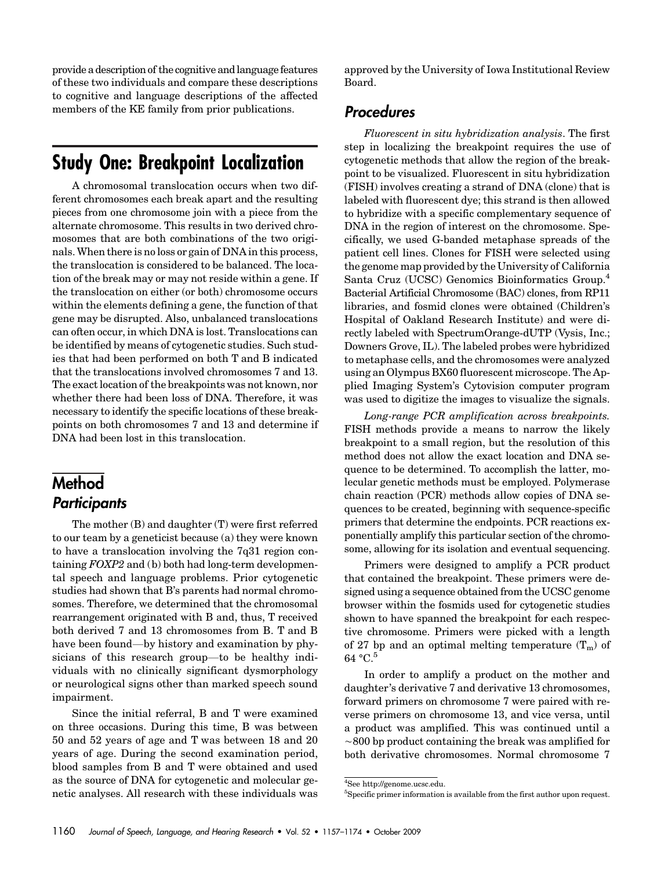provide a description of the cognitive and language features of these two individuals and compare these descriptions to cognitive and language descriptions of the affected members of the KE family from prior publications.

# Study One: Breakpoint Localization

A chromosomal translocation occurs when two different chromosomes each break apart and the resulting pieces from one chromosome join with a piece from the alternate chromosome. This results in two derived chromosomes that are both combinations of the two originals.When there is no loss or gain of DNA in this process, the translocation is considered to be balanced. The location of the break may or may not reside within a gene. If the translocation on either (or both) chromosome occurs within the elements defining a gene, the function of that gene may be disrupted. Also, unbalanced translocations can often occur, in which DNA is lost. Translocations can be identified by means of cytogenetic studies. Such studies that had been performed on both T and B indicated that the translocations involved chromosomes 7 and 13. The exact location of the breakpoints was not known, nor whether there had been loss of DNA. Therefore, it was necessary to identify the specific locations of these breakpoints on both chromosomes 7 and 13 and determine if DNA had been lost in this translocation.

## **Method Participants**

The mother (B) and daughter (T) were first referred to our team by a geneticist because (a) they were known to have a translocation involving the 7q31 region containing FOXP2 and (b) both had long-term developmental speech and language problems. Prior cytogenetic studies had shown that B's parents had normal chromosomes. Therefore, we determined that the chromosomal rearrangement originated with B and, thus, T received both derived 7 and 13 chromosomes from B. T and B have been found—by history and examination by physicians of this research group—to be healthy individuals with no clinically significant dysmorphology or neurological signs other than marked speech sound impairment.

Since the initial referral, B and T were examined on three occasions. During this time, B was between 50 and 52 years of age and T was between 18 and 20 years of age. During the second examination period, blood samples from B and T were obtained and used as the source of DNA for cytogenetic and molecular genetic analyses. All research with these individuals was approved by the University of Iowa Institutional Review Board.

#### **Procedures**

Fluorescent in situ hybridization analysis. The first step in localizing the breakpoint requires the use of cytogenetic methods that allow the region of the breakpoint to be visualized. Fluorescent in situ hybridization (FISH) involves creating a strand of DNA (clone) that is labeled with fluorescent dye; this strand is then allowed to hybridize with a specific complementary sequence of DNA in the region of interest on the chromosome. Specifically, we used G-banded metaphase spreads of the patient cell lines. Clones for FISH were selected using the genome map provided by the University of California Santa Cruz (UCSC) Genomics Bioinformatics Group.4 Bacterial Artificial Chromosome (BAC) clones, from RP11 libraries, and fosmid clones were obtained (Children's Hospital of Oakland Research Institute) and were directly labeled with SpectrumOrange-dUTP (Vysis, Inc.; Downers Grove, IL). The labeled probes were hybridized to metaphase cells, and the chromosomes were analyzed using an Olympus BX60 fluorescent microscope. The Applied Imaging System's Cytovision computer program was used to digitize the images to visualize the signals.

Long-range PCR amplification across breakpoints. FISH methods provide a means to narrow the likely breakpoint to a small region, but the resolution of this method does not allow the exact location and DNA sequence to be determined. To accomplish the latter, molecular genetic methods must be employed. Polymerase chain reaction (PCR) methods allow copies of DNA sequences to be created, beginning with sequence-specific primers that determine the endpoints. PCR reactions exponentially amplify this particular section of the chromosome, allowing for its isolation and eventual sequencing.

Primers were designed to amplify a PCR product that contained the breakpoint. These primers were designed using a sequence obtained from the UCSC genome browser within the fosmids used for cytogenetic studies shown to have spanned the breakpoint for each respective chromosome. Primers were picked with a length of 27 bp and an optimal melting temperature  $(T_m)$  of  $64 \text{ °C}$ .<sup>5</sup>

In order to amplify a product on the mother and daughter's derivative 7 and derivative 13 chromosomes, forward primers on chromosome 7 were paired with reverse primers on chromosome 13, and vice versa, until a product was amplified. This was continued until a *È*800 bp product containing the break was amplified for both derivative chromosomes. Normal chromosome 7

<sup>4</sup> See http://genome.ucsc.edu.

<sup>&</sup>lt;sup>5</sup>Specific primer information is available from the first author upon request.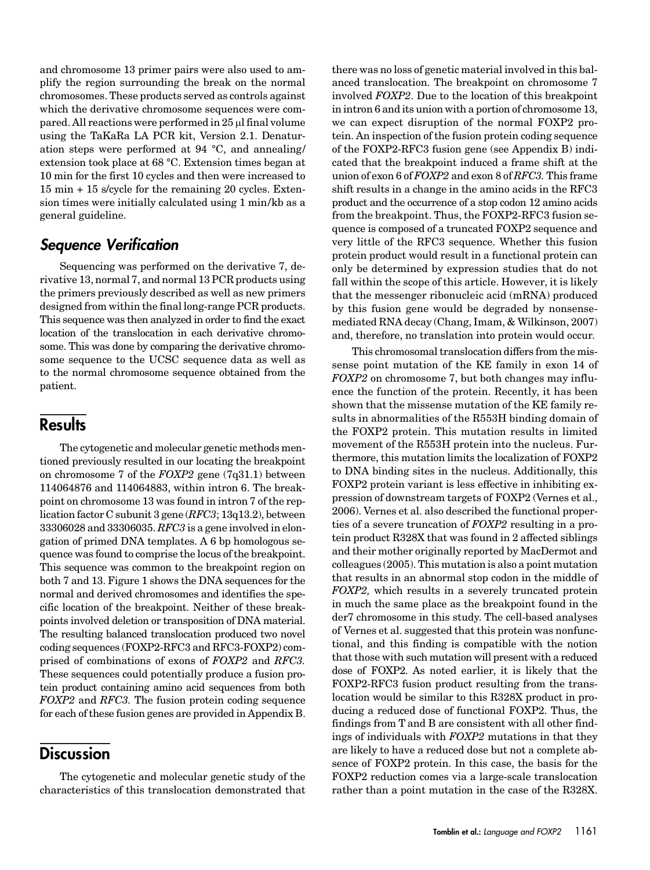and chromosome 13 primer pairs were also used to amplify the region surrounding the break on the normal chromosomes. These products served as controls against which the derivative chromosome sequences were compared. All reactions were performed in  $25 \mu$ l final volume using the TaKaRa LA PCR kit, Version 2.1. Denaturation steps were performed at 94 °C, and annealing/ extension took place at 68 °C. Extension times began at 10 min for the first 10 cycles and then were increased to 15 min + 15 s/cycle for the remaining 20 cycles. Extension times were initially calculated using 1 min/kb as a general guideline.

## Sequence Verification

Sequencing was performed on the derivative 7, derivative 13, normal 7, and normal 13 PCR products using the primers previously described as well as new primers designed from within the final long-range PCR products. This sequence was then analyzed in order to find the exact location of the translocation in each derivative chromosome. This was done by comparing the derivative chromosome sequence to the UCSC sequence data as well as to the normal chromosome sequence obtained from the patient.

## **Results**

The cytogenetic and molecular genetic methods mentioned previously resulted in our locating the breakpoint on chromosome 7 of the  $FOXP2$  gene  $(7q31.1)$  between 114064876 and 114064883, within intron 6. The breakpoint on chromosome 13 was found in intron 7 of the replication factor C subunit 3 gene (RFC3; 13q13.2), between  $33306028$  and  $33306035$ .  $RFC3$  is a gene involved in elongation of primed DNA templates. A 6 bp homologous sequence was found to comprise the locus of the breakpoint. This sequence was common to the breakpoint region on both 7 and 13. Figure 1 shows the DNA sequences for the normal and derived chromosomes and identifies the specific location of the breakpoint. Neither of these breakpoints involved deletion or transposition of DNA material. The resulting balanced translocation produced two novel coding sequences (FOXP2-RFC3 and RFC3-FOXP2) comprised of combinations of exons of FOXP2 and RFC3. These sequences could potentially produce a fusion protein product containing amino acid sequences from both FOXP2 and RFC3. The fusion protein coding sequence for each of these fusion genes are provided in Appendix B.

### **Discussion**

The cytogenetic and molecular genetic study of the characteristics of this translocation demonstrated that there was no loss of genetic material involved in this balanced translocation. The breakpoint on chromosome 7 involved FOXP2. Due to the location of this breakpoint in intron 6 and its union with a portion of chromosome 13, we can expect disruption of the normal FOXP2 protein. An inspection of the fusion protein coding sequence of the FOXP2-RFC3 fusion gene (see Appendix B) indicated that the breakpoint induced a frame shift at the union of exon 6 of FOXP2 and exon 8 of RFC3. This frame shift results in a change in the amino acids in the RFC3 product and the occurrence of a stop codon 12 amino acids from the breakpoint. Thus, the FOXP2-RFC3 fusion sequence is composed of a truncated FOXP2 sequence and very little of the RFC3 sequence. Whether this fusion protein product would result in a functional protein can only be determined by expression studies that do not fall within the scope of this article. However, it is likely that the messenger ribonucleic acid (mRNA) produced by this fusion gene would be degraded by nonsensemediated RNA decay (Chang, Imam, & Wilkinson, 2007) and, therefore, no translation into protein would occur.

This chromosomal translocation differs from the missense point mutation of the KE family in exon 14 of FOXP2 on chromosome 7, but both changes may influence the function of the protein. Recently, it has been shown that the missense mutation of the KE family results in abnormalities of the R553H binding domain of the FOXP2 protein. This mutation results in limited movement of the R553H protein into the nucleus. Furthermore, this mutation limits the localization of FOXP2 to DNA binding sites in the nucleus. Additionally, this FOXP2 protein variant is less effective in inhibiting expression of downstream targets of FOXP2 (Vernes et al., 2006). Vernes et al. also described the functional properties of a severe truncation of FOXP2 resulting in a protein product R328X that was found in 2 affected siblings and their mother originally reported by MacDermot and colleagues (2005). This mutation is also a point mutation that results in an abnormal stop codon in the middle of FOXP2, which results in a severely truncated protein in much the same place as the breakpoint found in the der7 chromosome in this study. The cell-based analyses of Vernes et al. suggested that this protein was nonfunctional, and this finding is compatible with the notion that those with such mutation will present with a reduced dose of FOXP2. As noted earlier, it is likely that the FOXP2-RFC3 fusion product resulting from the translocation would be similar to this R328X product in producing a reduced dose of functional FOXP2. Thus, the findings from T and B are consistent with all other findings of individuals with FOXP2 mutations in that they are likely to have a reduced dose but not a complete absence of FOXP2 protein. In this case, the basis for the FOXP2 reduction comes via a large-scale translocation rather than a point mutation in the case of the R328X.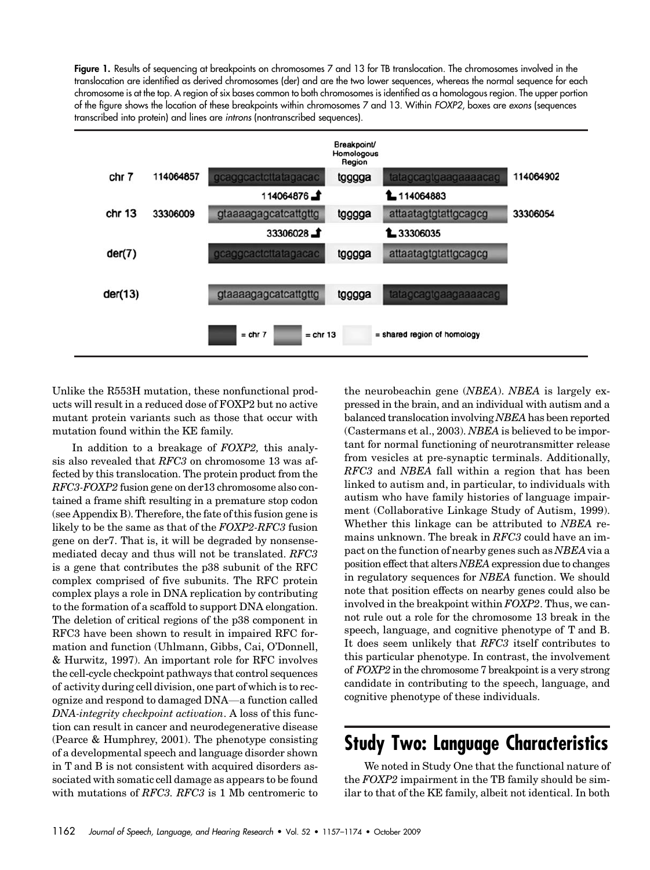Figure 1. Results of sequencing at breakpoints on chromosomes 7 and 13 for TB translocation. The chromosomes involved in the translocation are identified as derived chromosomes (der) and are the two lower sequences, whereas the normal sequence for each chromosome is at the top. A region of six bases common to both chromosomes is identified as a homologous region. The upper portion of the figure shows the location of these breakpoints within chromosomes 7 and 13. Within FOXP2, boxes are exons (sequences transcribed into protein) and lines are introns (nontranscribed sequences).



Unlike the R553H mutation, these nonfunctional products will result in a reduced dose of FOXP2 but no active mutant protein variants such as those that occur with mutation found within the KE family.

In addition to a breakage of FOXP2, this analysis also revealed that RFC3 on chromosome 13 was affected by this translocation. The protein product from the RFC3-FOXP2 fusion gene on der13 chromosome also contained a frame shift resulting in a premature stop codon (see Appendix B). Therefore, the fate of this fusion gene is likely to be the same as that of the FOXP2-RFC3 fusion gene on der7. That is, it will be degraded by nonsensemediated decay and thus will not be translated. RFC3 is a gene that contributes the p38 subunit of the RFC complex comprised of five subunits. The RFC protein complex plays a role in DNA replication by contributing to the formation of a scaffold to support DNA elongation. The deletion of critical regions of the p38 component in RFC3 have been shown to result in impaired RFC formation and function (Uhlmann, Gibbs, Cai, O'Donnell, & Hurwitz, 1997). An important role for RFC involves the cell-cycle checkpoint pathways that control sequences of activity during cell division, one part of which is to recognize and respond to damaged DNA—a function called DNA-integrity checkpoint activation. A loss of this function can result in cancer and neurodegenerative disease (Pearce & Humphrey, 2001). The phenotype consisting of a developmental speech and language disorder shown in T and B is not consistent with acquired disorders associated with somatic cell damage as appears to be found with mutations of RFC3. RFC3 is 1 Mb centromeric to

the neurobeachin gene (NBEA). NBEA is largely expressed in the brain, and an individual with autism and a balanced translocation involving NBEA has been reported (Castermans et al., 2003). NBEA is believed to be important for normal functioning of neurotransmitter release from vesicles at pre-synaptic terminals. Additionally, RFC3 and NBEA fall within a region that has been linked to autism and, in particular, to individuals with autism who have family histories of language impairment (Collaborative Linkage Study of Autism, 1999). Whether this linkage can be attributed to NBEA remains unknown. The break in RFC3 could have an impact on the function of nearby genes such as NBEAvia a position effect that alters NBEA expression due to changes in regulatory sequences for NBEA function. We should note that position effects on nearby genes could also be involved in the breakpoint within FOXP2. Thus, we cannot rule out a role for the chromosome 13 break in the speech, language, and cognitive phenotype of T and B. It does seem unlikely that RFC3 itself contributes to this particular phenotype. In contrast, the involvement of FOXP2 in the chromosome 7 breakpoint is a very strong candidate in contributing to the speech, language, and cognitive phenotype of these individuals.

# Study Two: Language Characteristics

We noted in Study One that the functional nature of the FOXP2 impairment in the TB family should be similar to that of the KE family, albeit not identical. In both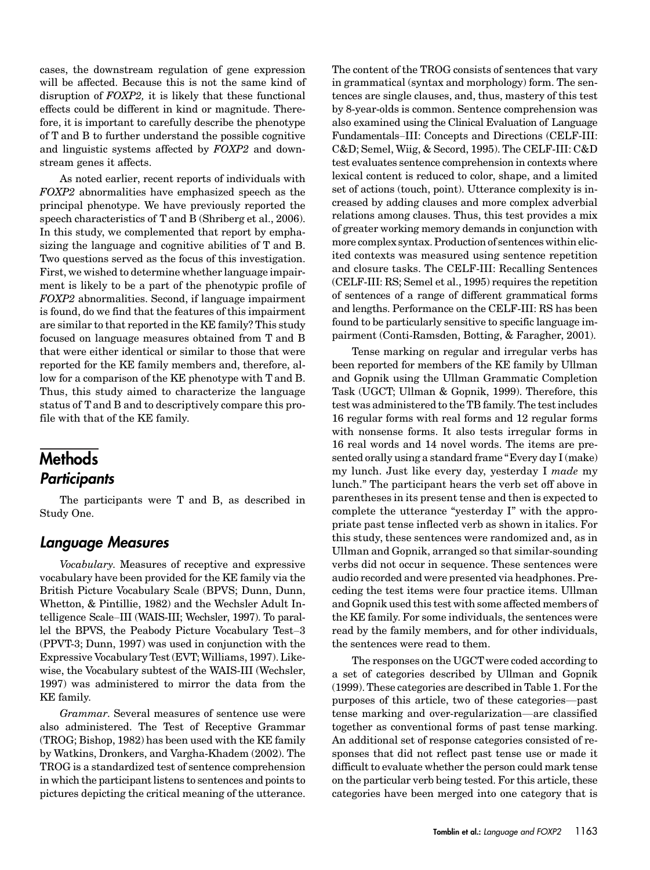cases, the downstream regulation of gene expression will be affected. Because this is not the same kind of disruption of FOXP2, it is likely that these functional effects could be different in kind or magnitude. Therefore, it is important to carefully describe the phenotype of T and B to further understand the possible cognitive and linguistic systems affected by FOXP2 and downstream genes it affects.

As noted earlier, recent reports of individuals with FOXP2 abnormalities have emphasized speech as the principal phenotype. We have previously reported the speech characteristics of T and B (Shriberg et al., 2006). In this study, we complemented that report by emphasizing the language and cognitive abilities of T and B. Two questions served as the focus of this investigation. First, we wished to determine whether language impairment is likely to be a part of the phenotypic profile of FOXP2 abnormalities. Second, if language impairment is found, do we find that the features of this impairment are similar to that reported in the KE family? This study focused on language measures obtained from T and B that were either identical or similar to those that were reported for the KE family members and, therefore, allow for a comparison of the KE phenotype with T and B. Thus, this study aimed to characterize the language status of T and B and to descriptively compare this profile with that of the KE family.

## **Methods Participants**

The participants were T and B, as described in Study One.

## Language Measures

Vocabulary. Measures of receptive and expressive vocabulary have been provided for the KE family via the British Picture Vocabulary Scale (BPVS; Dunn, Dunn, Whetton, & Pintillie, 1982) and the Wechsler Adult Intelligence Scale–III (WAIS-III; Wechsler, 1997). To parallel the BPVS, the Peabody Picture Vocabulary Test–3 (PPVT-3; Dunn, 1997) was used in conjunction with the Expressive Vocabulary Test (EVT; Williams, 1997). Likewise, the Vocabulary subtest of the WAIS-III (Wechsler, 1997) was administered to mirror the data from the KE family.

Grammar. Several measures of sentence use were also administered. The Test of Receptive Grammar (TROG; Bishop, 1982) has been used with the KE family by Watkins, Dronkers, and Vargha-Khadem (2002). The TROG is a standardized test of sentence comprehension in which the participant listens to sentences and points to pictures depicting the critical meaning of the utterance.

The content of the TROG consists of sentences that vary in grammatical (syntax and morphology) form. The sentences are single clauses, and, thus, mastery of this test by 8-year-olds is common. Sentence comprehension was also examined using the Clinical Evaluation of Language Fundamentals–III: Concepts and Directions (CELF-III: C&D; Semel, Wiig, & Secord, 1995). The CELF-III: C&D test evaluates sentence comprehension in contexts where lexical content is reduced to color, shape, and a limited set of actions (touch, point). Utterance complexity is increased by adding clauses and more complex adverbial relations among clauses. Thus, this test provides a mix of greater working memory demands in conjunction with more complex syntax. Production of sentences within elicited contexts was measured using sentence repetition and closure tasks. The CELF-III: Recalling Sentences (CELF-III: RS; Semel et al., 1995) requires the repetition of sentences of a range of different grammatical forms and lengths. Performance on the CELF-III: RS has been found to be particularly sensitive to specific language impairment (Conti-Ramsden, Botting, & Faragher, 2001).

Tense marking on regular and irregular verbs has been reported for members of the KE family by Ullman and Gopnik using the Ullman Grammatic Completion Task (UGCT; Ullman & Gopnik, 1999). Therefore, this test was administered to the TB family. The test includes 16 regular forms with real forms and 12 regular forms with nonsense forms. It also tests irregular forms in 16 real words and 14 novel words. The items are presented orally using a standard frame "Every day I (make) my lunch. Just like every day, yesterday I made my lunch." The participant hears the verb set off above in parentheses in its present tense and then is expected to complete the utterance "yesterday I" with the appropriate past tense inflected verb as shown in italics. For this study, these sentences were randomized and, as in Ullman and Gopnik, arranged so that similar-sounding verbs did not occur in sequence. These sentences were audio recorded and were presented via headphones. Preceding the test items were four practice items. Ullman and Gopnik used this test with some affected members of the KE family. For some individuals, the sentences were read by the family members, and for other individuals, the sentences were read to them.

The responses on the UGCT were coded according to a set of categories described by Ullman and Gopnik (1999). These categories are described in Table 1. For the purposes of this article, two of these categories—past tense marking and over-regularization—are classified together as conventional forms of past tense marking. An additional set of response categories consisted of responses that did not reflect past tense use or made it difficult to evaluate whether the person could mark tense on the particular verb being tested. For this article, these categories have been merged into one category that is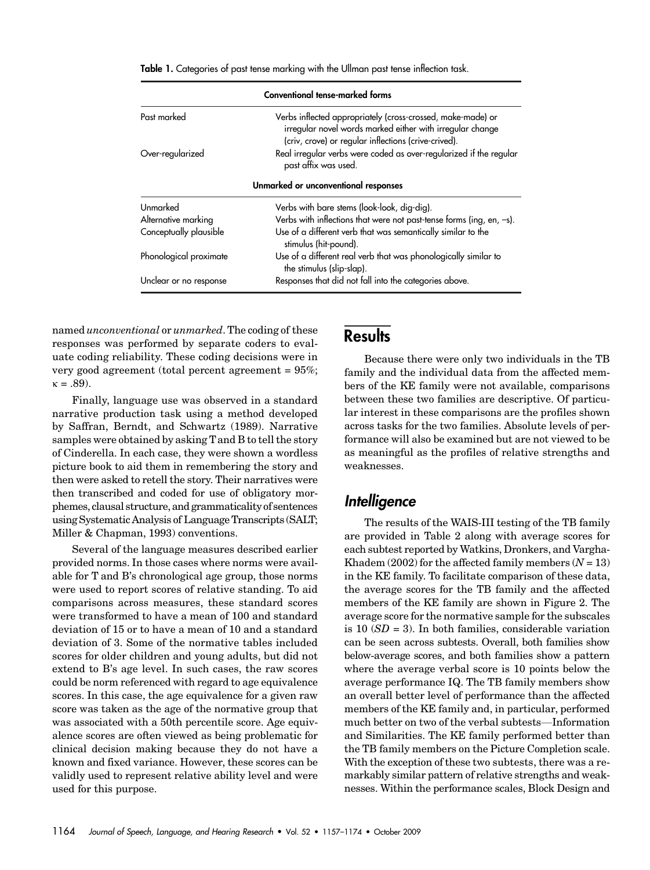| <b>Conventional tense-marked forms</b> |                                                                                                                                                                                  |  |  |  |  |  |
|----------------------------------------|----------------------------------------------------------------------------------------------------------------------------------------------------------------------------------|--|--|--|--|--|
| Past marked                            | Verbs inflected appropriately (cross-crossed, make-made) or<br>irregular novel words marked either with irregular change<br>(criv, crove) or regular inflections (crive-crived). |  |  |  |  |  |
| Over-regularized                       | Real irregular verbs were coded as over-regularized if the regular<br>past affix was used.                                                                                       |  |  |  |  |  |
| Unmarked or unconventional responses   |                                                                                                                                                                                  |  |  |  |  |  |
| Unmarked                               | Verbs with bare stems (look-look, dig-dig).                                                                                                                                      |  |  |  |  |  |
| Alternative marking                    | Verbs with inflections that were not past-tense forms (ing, en, -s).                                                                                                             |  |  |  |  |  |
| Conceptually plausible                 | Use of a different verb that was semantically similar to the<br>stimulus (hit-pound).                                                                                            |  |  |  |  |  |
| Phonological proximate                 | Use of a different real verb that was phonologically similar to<br>the stimulus (slip-slap).                                                                                     |  |  |  |  |  |
| Unclear or no response                 | Responses that did not fall into the categories above.                                                                                                                           |  |  |  |  |  |

Table 1. Categories of past tense marking with the Ullman past tense inflection task.

named unconventional or unmarked. The coding of these responses was performed by separate coders to evaluate coding reliability. These coding decisions were in very good agreement (total percent agreement = 95%;  $\kappa = .89$ ).

Finally, language use was observed in a standard narrative production task using a method developed by Saffran, Berndt, and Schwartz (1989). Narrative samples were obtained by asking T and B to tell the story of Cinderella. In each case, they were shown a wordless picture book to aid them in remembering the story and then were asked to retell the story. Their narratives were then transcribed and coded for use of obligatory morphemes, clausal structure, and grammaticality of sentences using Systematic Analysis of Language Transcripts (SALT; Miller & Chapman, 1993) conventions.

Several of the language measures described earlier provided norms. In those cases where norms were available for T and B's chronological age group, those norms were used to report scores of relative standing. To aid comparisons across measures, these standard scores were transformed to have a mean of 100 and standard deviation of 15 or to have a mean of 10 and a standard deviation of 3. Some of the normative tables included scores for older children and young adults, but did not extend to B's age level. In such cases, the raw scores could be norm referenced with regard to age equivalence scores. In this case, the age equivalence for a given raw score was taken as the age of the normative group that was associated with a 50th percentile score. Age equivalence scores are often viewed as being problematic for clinical decision making because they do not have a known and fixed variance. However, these scores can be validly used to represent relative ability level and were used for this purpose.

## **Results**

Because there were only two individuals in the TB family and the individual data from the affected members of the KE family were not available, comparisons between these two families are descriptive. Of particular interest in these comparisons are the profiles shown across tasks for the two families. Absolute levels of performance will also be examined but are not viewed to be as meaningful as the profiles of relative strengths and weaknesses.

#### **Intelligence**

The results of the WAIS-III testing of the TB family are provided in Table 2 along with average scores for each subtest reported by Watkins, Dronkers, and Vargha-Khadem (2002) for the affected family members ( $N = 13$ ) in the KE family. To facilitate comparison of these data, the average scores for the TB family and the affected members of the KE family are shown in Figure 2. The average score for the normative sample for the subscales is 10  $(SD = 3)$ . In both families, considerable variation can be seen across subtests. Overall, both families show below-average scores, and both families show a pattern where the average verbal score is 10 points below the average performance IQ. The TB family members show an overall better level of performance than the affected members of the KE family and, in particular, performed much better on two of the verbal subtests—Information and Similarities. The KE family performed better than the TB family members on the Picture Completion scale. With the exception of these two subtests, there was a remarkably similar pattern of relative strengths and weaknesses. Within the performance scales, Block Design and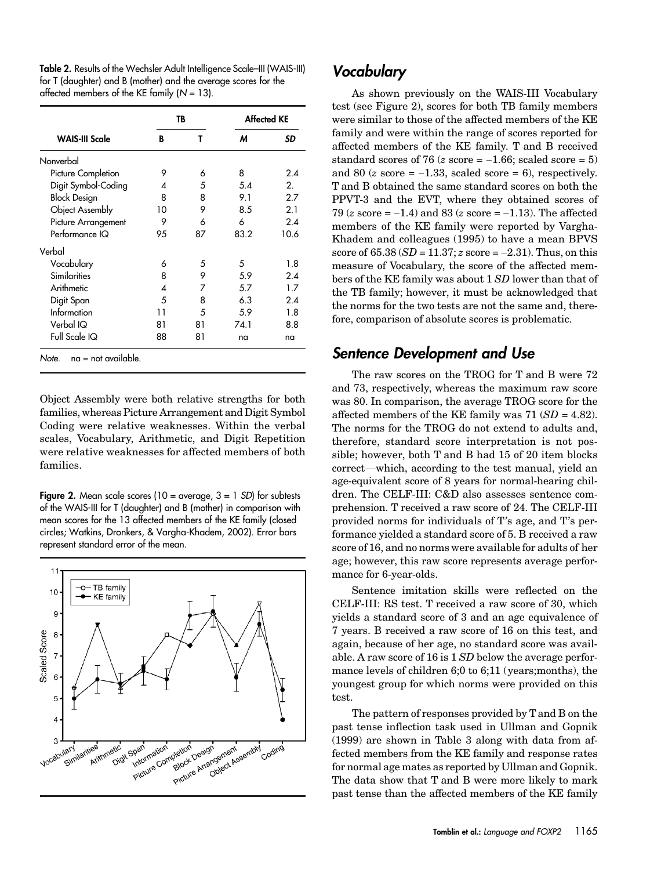Table 2. Results of the Wechsler Adult Intelligence Scale–III (WAIS-III) for T (daughter) and B (mother) and the average scores for the affected members of the KE family ( $N = 13$ ).

|                                 |    | TB | <b>Affected KE</b> |      |  |
|---------------------------------|----|----|--------------------|------|--|
| <b>WAIS-III Scale</b>           | B  | т  | м                  | SD   |  |
| Nonverbal                       |    |    |                    |      |  |
| Picture Completion              | 9  | 6  | 8                  | 2.4  |  |
| Digit Symbol-Coding             | ◢  | 5  | 5.4                | 2.   |  |
| <b>Block Design</b>             | 8  | 8  | 9.1                | 2.7  |  |
| <b>Object Assembly</b>          | 10 | 9  | 8.5                | 2.1  |  |
| Picture Arrangement             | 9  | 6  | 6                  | 2.4  |  |
| Performance IQ                  | 95 | 87 | 83.2               | 10.6 |  |
| Verbal                          |    |    |                    |      |  |
| Vocabulary                      | 6  | 5  | 5                  | 1.8  |  |
| <b>Similarities</b>             | 8  | 9  | 5.9                | 2.4  |  |
| Arithmetic                      | 4  | 7  | 5.7                | 1.7  |  |
| Digit Span                      | 5  | 8  | 6.3                | 2.4  |  |
| Information                     | 11 | 5  | 5.9                | 1.8  |  |
| Verbal IQ                       | 81 | 81 | 74.1               | 8.8  |  |
| Full Scale IQ                   | 88 | 81 | na                 | na   |  |
| $na = not available$ .<br>Note. |    |    |                    |      |  |

Object Assembly were both relative strengths for both families, whereas Picture Arrangement and Digit Symbol Coding were relative weaknesses. Within the verbal scales, Vocabulary, Arithmetic, and Digit Repetition were relative weaknesses for affected members of both families.

**Figure 2.** Mean scale scores (10 = average,  $3 = 1$  SD) for subtests of the WAIS-III for T (daughter) and B (mother) in comparison with mean scores for the 13 affected members of the KE family (closed circles; Watkins, Dronkers, & Vargha-Khadem, 2002). Error bars represent standard error of the mean.



### Vocabulary

As shown previously on the WAIS-III Vocabulary test (see Figure 2), scores for both TB family members were similar to those of the affected members of the KE family and were within the range of scores reported for affected members of the KE family. T and B received standard scores of 76 ( $z$  score = -1.66; scaled score = 5) and 80 ( $z$  score = -1.33, scaled score = 6), respectively. T and B obtained the same standard scores on both the PPVT-3 and the EVT, where they obtained scores of 79 ( $z$  score = -1.4) and 83 ( $z$  score = -1.13). The affected members of the KE family were reported by Vargha-Khadem and colleagues (1995) to have a mean BPVS score of  $65.38(SD = 11.37; z \text{ score} = -2.31)$ . Thus, on this measure of Vocabulary, the score of the affected members of the KE family was about 1 SD lower than that of the TB family; however, it must be acknowledged that the norms for the two tests are not the same and, therefore, comparison of absolute scores is problematic.

#### Sentence Development and Use

The raw scores on the TROG for T and B were 72 and 73, respectively, whereas the maximum raw score was 80. In comparison, the average TROG score for the affected members of the KE family was  $71 (SD = 4.82)$ . The norms for the TROG do not extend to adults and, therefore, standard score interpretation is not possible; however, both T and B had 15 of 20 item blocks correct—which, according to the test manual, yield an age-equivalent score of 8 years for normal-hearing children. The CELF-III: C&D also assesses sentence comprehension. T received a raw score of 24. The CELF-III provided norms for individuals of T's age, and T's performance yielded a standard score of 5. B received a raw score of 16, and no norms were available for adults of her age; however, this raw score represents average performance for 6-year-olds.

Sentence imitation skills were reflected on the CELF-III: RS test. T received a raw score of 30, which yields a standard score of 3 and an age equivalence of 7 years. B received a raw score of 16 on this test, and again, because of her age, no standard score was available. A raw score of 16 is 1 SD below the average performance levels of children 6;0 to 6;11 (years; months), the youngest group for which norms were provided on this test.

The pattern of responses provided by T and B on the past tense inflection task used in Ullman and Gopnik (1999) are shown in Table 3 along with data from affected members from the KE family and response rates for normal age mates as reported by Ullman and Gopnik. The data show that T and B were more likely to mark past tense than the affected members of the KE family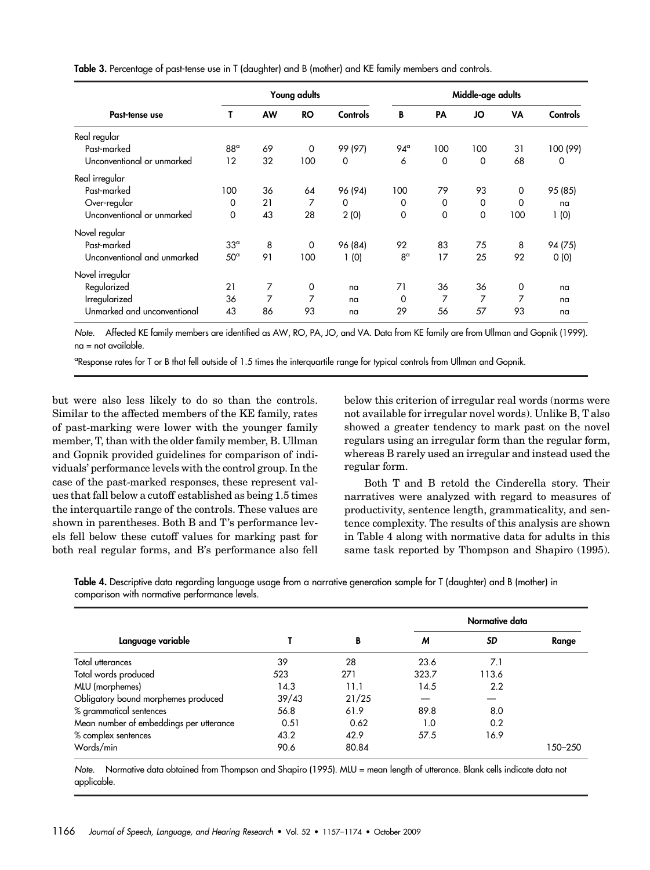|  |  | Table 3. Percentage of past-tense use in T (daughter) and B (mother) and KE family members and controls. |
|--|--|----------------------------------------------------------------------------------------------------------|
|--|--|----------------------------------------------------------------------------------------------------------|

|                             | Young adults |    |           | Middle-age adults |             |             |             |     |                |
|-----------------------------|--------------|----|-----------|-------------------|-------------|-------------|-------------|-----|----------------|
| Past-tense use              | Τ            | AW | <b>RO</b> | Controls          | B           | PA          | JO          | VA  | Controls       |
| Real regular                |              |    |           |                   |             |             |             |     |                |
| Past-marked                 | $88^{\circ}$ | 69 | 0         | 99 (97)           | $94^\circ$  | 100         | 100         | 31  | 100 (99)       |
| Unconventional or unmarked  | 12           | 32 | 100       | 0                 | 6           | $\mathbf 0$ | $\mathbf 0$ | 68  | 0              |
| Real irregular              |              |    |           |                   |             |             |             |     |                |
| Past-marked                 | 100          | 36 | 64        | 96 (94)           | 100         | 79          | 93          | 0   | 95 (85)        |
| Over-regular                | 0            | 21 | 7         | 0                 | 0           | $\mathbf 0$ | $\mathbf 0$ | 0   | na             |
| Unconventional or unmarked  | $\mathbf 0$  | 43 | 28        | 2(0)              | 0           | 0           | 0           | 100 | 1(0)           |
| Novel regular               |              |    |           |                   |             |             |             |     |                |
| Past-marked                 | $33^{\circ}$ | 8  | 0         | 96 (84)           | 92          | 83          | 75          | 8   | 94 (75)        |
| Unconventional and unmarked | $50^{\circ}$ | 91 | 100       | 1(0)              | $8^{\circ}$ | 17          | 25          | 92  | 0(0)           |
| Novel irregular             |              |    |           |                   |             |             |             |     |                |
| Regularized                 | 21           | 7  | 0         | na                | 71          | 36          | 36          | 0   | n <sub>a</sub> |
| Irregularized               | 36           | 7  | 7         | na                | 0           | 7           | 7           | 7   | na             |
| Unmarked and unconventional | 43           | 86 | 93        | na                | 29          | 56          | 57          | 93  | na             |

Note. Affected KE family members are identified as AW, RO, PA, JO, and VA. Data from KE family are from Ullman and Gopnik (1999). na = not available.

a Response rates for T or B that fell outside of 1.5 times the interquartile range for typical controls from Ullman and Gopnik.

but were also less likely to do so than the controls. Similar to the affected members of the KE family, rates of past-marking were lower with the younger family member, T, than with the older family member, B. Ullman and Gopnik provided guidelines for comparison of individuals' performance levels with the control group. In the case of the past-marked responses, these represent values that fall below a cutoff established as being 1.5 times the interquartile range of the controls. These values are shown in parentheses. Both B and T's performance levels fell below these cutoff values for marking past for both real regular forms, and B's performance also fell below this criterion of irregular real words (norms were not available for irregular novel words). Unlike B, T also showed a greater tendency to mark past on the novel regulars using an irregular form than the regular form, whereas B rarely used an irregular and instead used the regular form.

Both T and B retold the Cinderella story. Their narratives were analyzed with regard to measures of productivity, sentence length, grammaticality, and sentence complexity. The results of this analysis are shown in Table 4 along with normative data for adults in this same task reported by Thompson and Shapiro (1995).

| Table 4. Descriptive data regarding language usage from a narrative generation sample for T (daughter) and B (mother) in |  |  |
|--------------------------------------------------------------------------------------------------------------------------|--|--|
| comparison with normative performance levels.                                                                            |  |  |

|                                         |       |       |       | Normative data |         |
|-----------------------------------------|-------|-------|-------|----------------|---------|
| Language variable                       |       | В     | M     | SD             | Range   |
| Total utterances                        | 39    | 28    | 23.6  | 7.1            |         |
| Total words produced                    | 523   | 271   | 323.7 | 113.6          |         |
| MLU (morphemes)                         | 14.3  | 11.1  | 14.5  | 2.2            |         |
| Obligatory bound morphemes produced     | 39/43 | 21/25 |       |                |         |
| % grammatical sentences                 | 56.8  | 61.9  | 89.8  | 8.0            |         |
| Mean number of embeddings per utterance | 0.51  | 0.62  | 1.0   | 0.2            |         |
| % complex sentences                     | 43.2  | 42.9  | 57.5  | 16.9           |         |
| Words/min                               | 90.6  | 80.84 |       |                | 150–250 |

Note. Normative data obtained from Thompson and Shapiro (1995). MLU = mean length of utterance. Blank cells indicate data not applicable.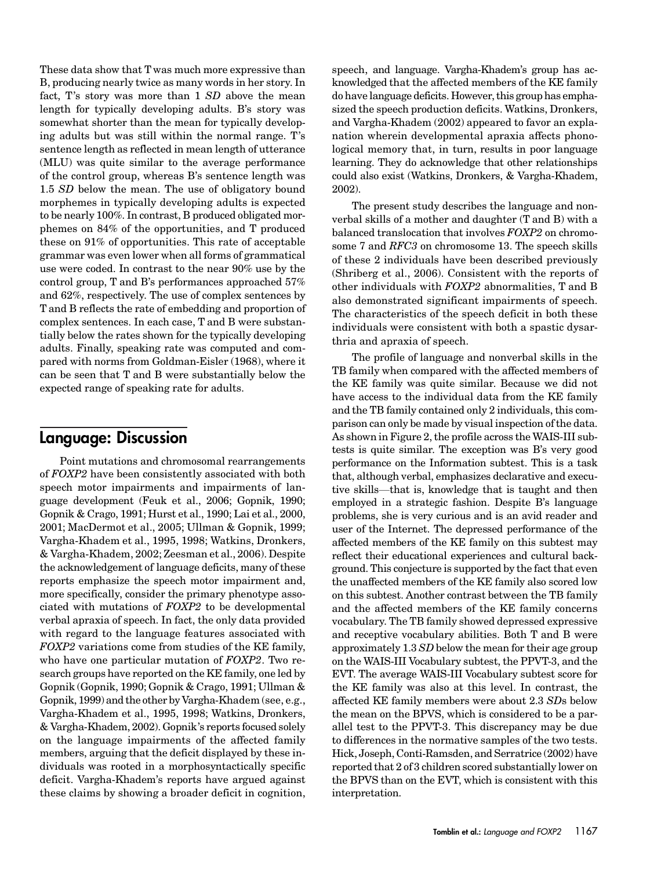These data show that T was much more expressive than B, producing nearly twice as many words in her story. In fact, T's story was more than 1 SD above the mean length for typically developing adults. B's story was somewhat shorter than the mean for typically developing adults but was still within the normal range. T's sentence length as reflected in mean length of utterance (MLU) was quite similar to the average performance of the control group, whereas B's sentence length was 1.5 SD below the mean. The use of obligatory bound morphemes in typically developing adults is expected to be nearly 100%. In contrast, B produced obligated morphemes on 84% of the opportunities, and T produced these on 91% of opportunities. This rate of acceptable grammar was even lower when all forms of grammatical use were coded. In contrast to the near 90% use by the control group, T and B's performances approached 57% and 62%, respectively. The use of complex sentences by T and B reflects the rate of embedding and proportion of complex sentences. In each case, T and B were substantially below the rates shown for the typically developing adults. Finally, speaking rate was computed and compared with norms from Goldman-Eisler (1968), where it can be seen that T and B were substantially below the expected range of speaking rate for adults.

## Language: Discussion

Point mutations and chromosomal rearrangements of FOXP2 have been consistently associated with both speech motor impairments and impairments of language development (Feuk et al., 2006; Gopnik, 1990; Gopnik & Crago, 1991; Hurst et al., 1990; Lai et al., 2000, 2001; MacDermot et al., 2005; Ullman & Gopnik, 1999; Vargha-Khadem et al., 1995, 1998; Watkins, Dronkers, & Vargha-Khadem, 2002; Zeesman et al., 2006). Despite the acknowledgement of language deficits, many of these reports emphasize the speech motor impairment and, more specifically, consider the primary phenotype associated with mutations of FOXP2 to be developmental verbal apraxia of speech. In fact, the only data provided with regard to the language features associated with FOXP2 variations come from studies of the KE family, who have one particular mutation of FOXP2. Two research groups have reported on the KE family, one led by Gopnik (Gopnik, 1990; Gopnik & Crago, 1991; Ullman & Gopnik, 1999) and the other by Vargha-Khadem (see, e.g., Vargha-Khadem et al., 1995, 1998; Watkins, Dronkers, & Vargha-Khadem, 2002). Gopnik's reports focused solely on the language impairments of the affected family members, arguing that the deficit displayed by these individuals was rooted in a morphosyntactically specific deficit. Vargha-Khadem's reports have argued against these claims by showing a broader deficit in cognition,

speech, and language. Vargha-Khadem's group has acknowledged that the affected members of the KE family do have language deficits. However, this group has emphasized the speech production deficits. Watkins, Dronkers, and Vargha-Khadem (2002) appeared to favor an explanation wherein developmental apraxia affects phonological memory that, in turn, results in poor language learning. They do acknowledge that other relationships could also exist (Watkins, Dronkers, & Vargha-Khadem, 2002).

The present study describes the language and nonverbal skills of a mother and daughter (T and B) with a balanced translocation that involves FOXP2 on chromosome 7 and RFC3 on chromosome 13. The speech skills of these 2 individuals have been described previously (Shriberg et al., 2006). Consistent with the reports of other individuals with FOXP2 abnormalities, T and B also demonstrated significant impairments of speech. The characteristics of the speech deficit in both these individuals were consistent with both a spastic dysarthria and apraxia of speech.

The profile of language and nonverbal skills in the TB family when compared with the affected members of the KE family was quite similar. Because we did not have access to the individual data from the KE family and the TB family contained only 2 individuals, this comparison can only be made by visual inspection of the data. As shown in Figure 2, the profile across the WAIS-III subtests is quite similar. The exception was B's very good performance on the Information subtest. This is a task that, although verbal, emphasizes declarative and executive skills—that is, knowledge that is taught and then employed in a strategic fashion. Despite B's language problems, she is very curious and is an avid reader and user of the Internet. The depressed performance of the affected members of the KE family on this subtest may reflect their educational experiences and cultural background. This conjecture is supported by the fact that even the unaffected members of the KE family also scored low on this subtest. Another contrast between the TB family and the affected members of the KE family concerns vocabulary. The TB family showed depressed expressive and receptive vocabulary abilities. Both T and B were approximately 1.3 SD below the mean for their age group on the WAIS-III Vocabulary subtest, the PPVT-3, and the EVT. The average WAIS-III Vocabulary subtest score for the KE family was also at this level. In contrast, the affected KE family members were about 2.3 SDs below the mean on the BPVS, which is considered to be a parallel test to the PPVT-3. This discrepancy may be due to differences in the normative samples of the two tests. Hick, Joseph, Conti-Ramsden, and Serratrice (2002) have reported that 2 of 3 children scored substantially lower on the BPVS than on the EVT, which is consistent with this interpretation.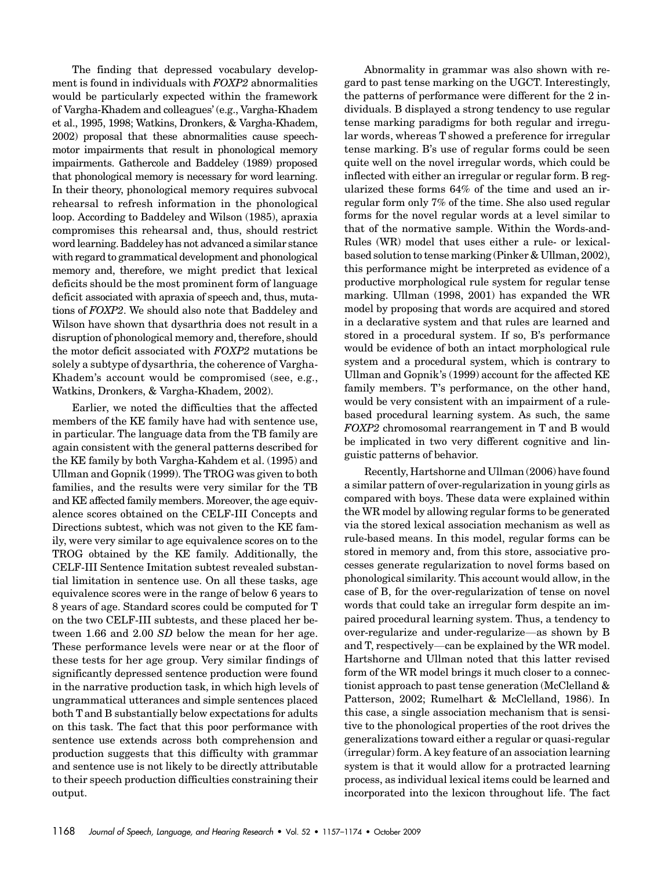The finding that depressed vocabulary development is found in individuals with FOXP2 abnormalities would be particularly expected within the framework of Vargha-Khadem and colleagues' (e.g., Vargha-Khadem et al., 1995, 1998; Watkins, Dronkers, & Vargha-Khadem, 2002) proposal that these abnormalities cause speechmotor impairments that result in phonological memory impairments. Gathercole and Baddeley (1989) proposed that phonological memory is necessary for word learning. In their theory, phonological memory requires subvocal rehearsal to refresh information in the phonological loop. According to Baddeley and Wilson (1985), apraxia compromises this rehearsal and, thus, should restrict word learning. Baddeley has not advanced a similar stance with regard to grammatical development and phonological memory and, therefore, we might predict that lexical deficits should be the most prominent form of language deficit associated with apraxia of speech and, thus, mutations of FOXP2. We should also note that Baddeley and Wilson have shown that dysarthria does not result in a disruption of phonological memory and, therefore, should the motor deficit associated with FOXP2 mutations be solely a subtype of dysarthria, the coherence of Vargha-Khadem's account would be compromised (see, e.g., Watkins, Dronkers, & Vargha-Khadem, 2002).

Earlier, we noted the difficulties that the affected members of the KE family have had with sentence use, in particular. The language data from the TB family are again consistent with the general patterns described for the KE family by both Vargha-Kahdem et al. (1995) and Ullman and Gopnik (1999). The TROG was given to both families, and the results were very similar for the TB and KE affected family members. Moreover, the age equivalence scores obtained on the CELF-III Concepts and Directions subtest, which was not given to the KE family, were very similar to age equivalence scores on to the TROG obtained by the KE family. Additionally, the CELF-III Sentence Imitation subtest revealed substantial limitation in sentence use. On all these tasks, age equivalence scores were in the range of below 6 years to 8 years of age. Standard scores could be computed for T on the two CELF-III subtests, and these placed her between 1.66 and 2.00 SD below the mean for her age. These performance levels were near or at the floor of these tests for her age group. Very similar findings of significantly depressed sentence production were found in the narrative production task, in which high levels of ungrammatical utterances and simple sentences placed both T and B substantially below expectations for adults on this task. The fact that this poor performance with sentence use extends across both comprehension and production suggests that this difficulty with grammar and sentence use is not likely to be directly attributable to their speech production difficulties constraining their output.

Abnormality in grammar was also shown with regard to past tense marking on the UGCT. Interestingly, the patterns of performance were different for the 2 individuals. B displayed a strong tendency to use regular tense marking paradigms for both regular and irregular words, whereas T showed a preference for irregular tense marking. B's use of regular forms could be seen quite well on the novel irregular words, which could be inflected with either an irregular or regular form. B regularized these forms 64% of the time and used an irregular form only 7% of the time. She also used regular forms for the novel regular words at a level similar to that of the normative sample. Within the Words-and-Rules (WR) model that uses either a rule- or lexicalbased solution to tense marking (Pinker & Ullman, 2002), this performance might be interpreted as evidence of a productive morphological rule system for regular tense marking. Ullman (1998, 2001) has expanded the WR model by proposing that words are acquired and stored in a declarative system and that rules are learned and stored in a procedural system. If so, B's performance would be evidence of both an intact morphological rule system and a procedural system, which is contrary to Ullman and Gopnik's (1999) account for the affected KE family members. T's performance, on the other hand, would be very consistent with an impairment of a rulebased procedural learning system. As such, the same FOXP2 chromosomal rearrangement in T and B would be implicated in two very different cognitive and linguistic patterns of behavior.

Recently, Hartshorne and Ullman (2006) have found a similar pattern of over-regularization in young girls as compared with boys. These data were explained within the WR model by allowing regular forms to be generated via the stored lexical association mechanism as well as rule-based means. In this model, regular forms can be stored in memory and, from this store, associative processes generate regularization to novel forms based on phonological similarity. This account would allow, in the case of B, for the over-regularization of tense on novel words that could take an irregular form despite an impaired procedural learning system. Thus, a tendency to over-regularize and under-regularize—as shown by B and T, respectively—can be explained by the WR model. Hartshorne and Ullman noted that this latter revised form of the WR model brings it much closer to a connectionist approach to past tense generation (McClelland & Patterson, 2002; Rumelhart & McClelland, 1986). In this case, a single association mechanism that is sensitive to the phonological properties of the root drives the generalizations toward either a regular or quasi-regular (irregular) form. A key feature of an association learning system is that it would allow for a protracted learning process, as individual lexical items could be learned and incorporated into the lexicon throughout life. The fact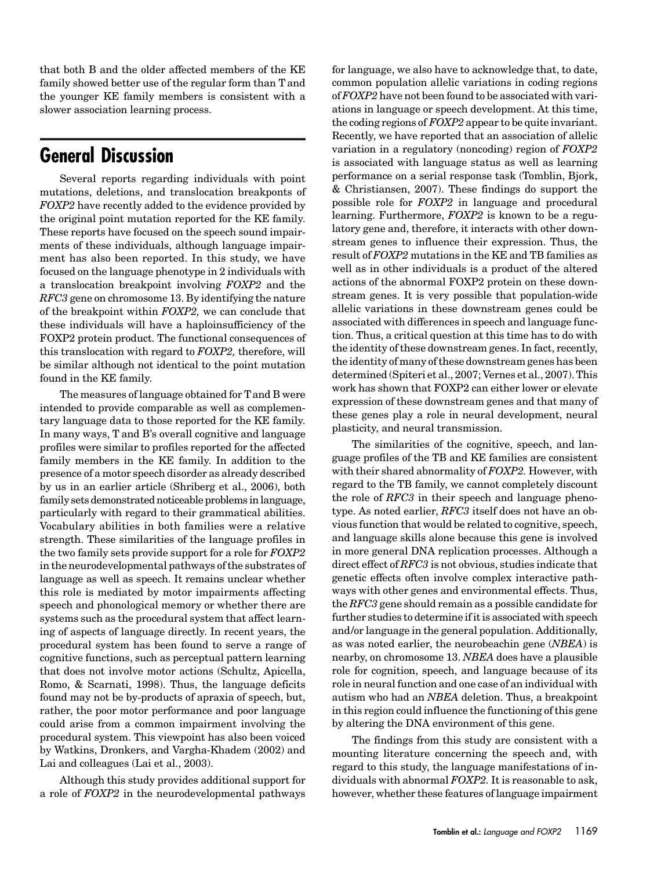that both B and the older affected members of the KE family showed better use of the regular form than T and the younger KE family members is consistent with a slower association learning process.

# General Discussion

Several reports regarding individuals with point mutations, deletions, and translocation breakponts of FOXP2 have recently added to the evidence provided by the original point mutation reported for the KE family. These reports have focused on the speech sound impairments of these individuals, although language impairment has also been reported. In this study, we have focused on the language phenotype in 2 individuals with a translocation breakpoint involving FOXP2 and the RFC3 gene on chromosome 13. By identifying the nature of the breakpoint within FOXP2, we can conclude that these individuals will have a haploinsufficiency of the FOXP2 protein product. The functional consequences of this translocation with regard to FOXP2, therefore, will be similar although not identical to the point mutation found in the KE family.

The measures of language obtained for T and B were intended to provide comparable as well as complementary language data to those reported for the KE family. In many ways, T and B's overall cognitive and language profiles were similar to profiles reported for the affected family members in the KE family. In addition to the presence of a motor speech disorder as already described by us in an earlier article (Shriberg et al., 2006), both family sets demonstrated noticeable problems in language, particularly with regard to their grammatical abilities. Vocabulary abilities in both families were a relative strength. These similarities of the language profiles in the two family sets provide support for a role for FOXP2 in the neurodevelopmental pathways of the substrates of language as well as speech. It remains unclear whether this role is mediated by motor impairments affecting speech and phonological memory or whether there are systems such as the procedural system that affect learning of aspects of language directly. In recent years, the procedural system has been found to serve a range of cognitive functions, such as perceptual pattern learning that does not involve motor actions (Schultz, Apicella, Romo, & Scarnati, 1998). Thus, the language deficits found may not be by-products of apraxia of speech, but, rather, the poor motor performance and poor language could arise from a common impairment involving the procedural system. This viewpoint has also been voiced by Watkins, Dronkers, and Vargha-Khadem (2002) and Lai and colleagues (Lai et al., 2003).

Although this study provides additional support for a role of FOXP2 in the neurodevelopmental pathways

for language, we also have to acknowledge that, to date, common population allelic variations in coding regions of FOXP2 have not been found to be associated with variations in language or speech development. At this time, the coding regions of FOXP2 appear to be quite invariant. Recently, we have reported that an association of allelic variation in a regulatory (noncoding) region of FOXP2 is associated with language status as well as learning performance on a serial response task (Tomblin, Bjork, & Christiansen, 2007). These findings do support the possible role for FOXP2 in language and procedural learning. Furthermore, FOXP2 is known to be a regulatory gene and, therefore, it interacts with other downstream genes to influence their expression. Thus, the result of FOXP2 mutations in the KE and TB families as well as in other individuals is a product of the altered actions of the abnormal FOXP2 protein on these downstream genes. It is very possible that population-wide allelic variations in these downstream genes could be associated with differences in speech and language function. Thus, a critical question at this time has to do with the identity of these downstream genes. In fact, recently, the identity of many of these downstream genes has been determined (Spiteri et al., 2007; Vernes et al., 2007). This work has shown that FOXP2 can either lower or elevate expression of these downstream genes and that many of these genes play a role in neural development, neural plasticity, and neural transmission.

The similarities of the cognitive, speech, and language profiles of the TB and KE families are consistent with their shared abnormality of FOXP2. However, with regard to the TB family, we cannot completely discount the role of RFC3 in their speech and language phenotype. As noted earlier, RFC3 itself does not have an obvious function that would be related to cognitive, speech, and language skills alone because this gene is involved in more general DNA replication processes. Although a direct effect of RFC3 is not obvious, studies indicate that genetic effects often involve complex interactive pathways with other genes and environmental effects. Thus, the RFC3 gene should remain as a possible candidate for further studies to determine if it is associated with speech and/or language in the general population. Additionally, as was noted earlier, the neurobeachin gene (NBEA) is nearby, on chromosome 13. NBEA does have a plausible role for cognition, speech, and language because of its role in neural function and one case of an individual with autism who had an NBEA deletion. Thus, a breakpoint in this region could influence the functioning of this gene by altering the DNA environment of this gene.

The findings from this study are consistent with a mounting literature concerning the speech and, with regard to this study, the language manifestations of individuals with abnormal FOXP2. It is reasonable to ask, however, whether these features of language impairment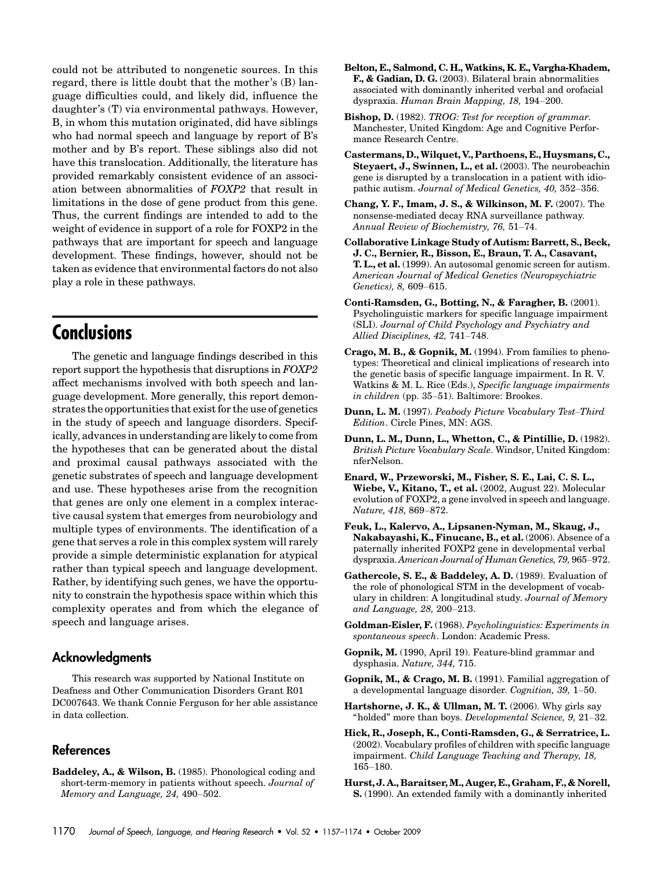could not be attributed to nongenetic sources. In this regard, there is little doubt that the mother's (B) language difficulties could, and likely did, influence the daughter's (T) via environmental pathways. However, B, in whom this mutation originated, did have siblings who had normal speech and language by report of B's mother and by B's report. These siblings also did not have this translocation. Additionally, the literature has provided remarkably consistent evidence of an association between abnormalities of FOXP2 that result in limitations in the dose of gene product from this gene. Thus, the current findings are intended to add to the weight of evidence in support of a role for FOXP2 in the pathways that are important for speech and language development. These findings, however, should not be taken as evidence that environmental factors do not also play a role in these pathways.

# Conclusions

The genetic and language findings described in this report support the hypothesis that disruptions in FOXP2 affect mechanisms involved with both speech and language development. More generally, this report demonstrates the opportunities that exist for the use of genetics in the study of speech and language disorders. Specifically, advances in understanding are likely to come from the hypotheses that can be generated about the distal and proximal causal pathways associated with the genetic substrates of speech and language development and use. These hypotheses arise from the recognition that genes are only one element in a complex interactive causal system that emerges from neurobiology and multiple types of environments. The identification of a gene that serves a role in this complex system will rarely provide a simple deterministic explanation for atypical rather than typical speech and language development. Rather, by identifying such genes, we have the opportunity to constrain the hypothesis space within which this complexity operates and from which the elegance of speech and language arises.

#### Acknowledgments

This research was supported by National Institute on Deafness and Other Communication Disorders Grant R01 DC007643. We thank Connie Ferguson for her able assistance in data collection.

#### References

Baddeley, A., & Wilson, B. (1985). Phonological coding and short-term-memory in patients without speech. Journal of Memory and Language, 24, 490–502.

- Belton, E., Salmond, C. H., Watkins, K. E., Vargha-Khadem, F., & Gadian, D. G. (2003). Bilateral brain abnormalities associated with dominantly inherited verbal and orofacial dyspraxia. Human Brain Mapping, 18, 194–200.
- Bishop, D. (1982). TROG: Test for reception of grammar. Manchester, United Kingdom: Age and Cognitive Performance Research Centre.
- Castermans, D., Wilquet, V., Parthoens, E., Huysmans, C., Steyaert, J., Swinnen, L., et al. (2003). The neurobeachin gene is disrupted by a translocation in a patient with idiopathic autism. Journal of Medical Genetics, 40, 352–356.
- Chang, Y. F., Imam, J. S., & Wilkinson, M. F. (2007). The nonsense-mediated decay RNA surveillance pathway. Annual Review of Biochemistry, 76, 51–74.
- Collaborative Linkage Study of Autism: Barrett, S., Beck, J. C., Bernier, R., Bisson, E., Braun, T. A., Casavant, T. L., et al. (1999). An autosomal genomic screen for autism. American Journal of Medical Genetics (Neuropsychiatric Genetics), 8, 609–615.
- Conti-Ramsden, G., Botting, N., & Faragher, B. (2001). Psycholinguistic markers for specific language impairment (SLI). Journal of Child Psychology and Psychiatry and Allied Disciplines, 42, 741–748.
- Crago, M. B., & Gopnik, M. (1994). From families to phenotypes: Theoretical and clinical implications of research into the genetic basis of specific language impairment. In R. V. Watkins & M. L. Rice (Eds.), Specific language impairments in children (pp. 35–51). Baltimore: Brookes.
- Dunn, L. M. (1997). Peabody Picture Vocabulary Test–Third Edition. Circle Pines, MN: AGS.
- Dunn, L. M., Dunn, L., Whetton, C., & Pintillie, D. (1982). British Picture Vocabulary Scale. Windsor, United Kingdom: nferNelson.
- Enard, W., Przeworski, M., Fisher, S. E., Lai, C. S. L., Wiebe, V., Kitano, T., et al. (2002, August 22). Molecular evolution of FOXP2, a gene involved in speech and language. Nature, 418, 869–872.
- Feuk, L., Kalervo, A., Lipsanen-Nyman, M., Skaug, J., Nakabayashi, K., Finucane, B., et al. (2006). Absence of a paternally inherited FOXP2 gene in developmental verbal dyspraxia.American Journal of Human Genetics, 79, 965–972.
- Gathercole, S. E., & Baddeley, A. D. (1989). Evaluation of the role of phonological STM in the development of vocabulary in children: A longitudinal study. Journal of Memory and Language, 28, 200–213.
- Goldman-Eisler, F. (1968). Psycholinguistics: Experiments in spontaneous speech. London: Academic Press.
- Gopnik, M. (1990, April 19). Feature-blind grammar and dysphasia. Nature, 344, 715.
- Gopnik, M., & Crago, M. B. (1991). Familial aggregation of a developmental language disorder. Cognition, 39, 1–50.
- Hartshorne, J. K., & Ullman, M. T. (2006). Why girls say "holded" more than boys. Developmental Science, 9, 21–32.
- Hick, R., Joseph, K., Conti-Ramsden, G., & Serratrice, L. (2002). Vocabulary profiles of children with specific language impairment. Child Language Teaching and Therapy, 18, 165–180.
- Hurst, J. A., Baraitser, M., Auger, E., Graham, F., & Norell, S. (1990). An extended family with a dominantly inherited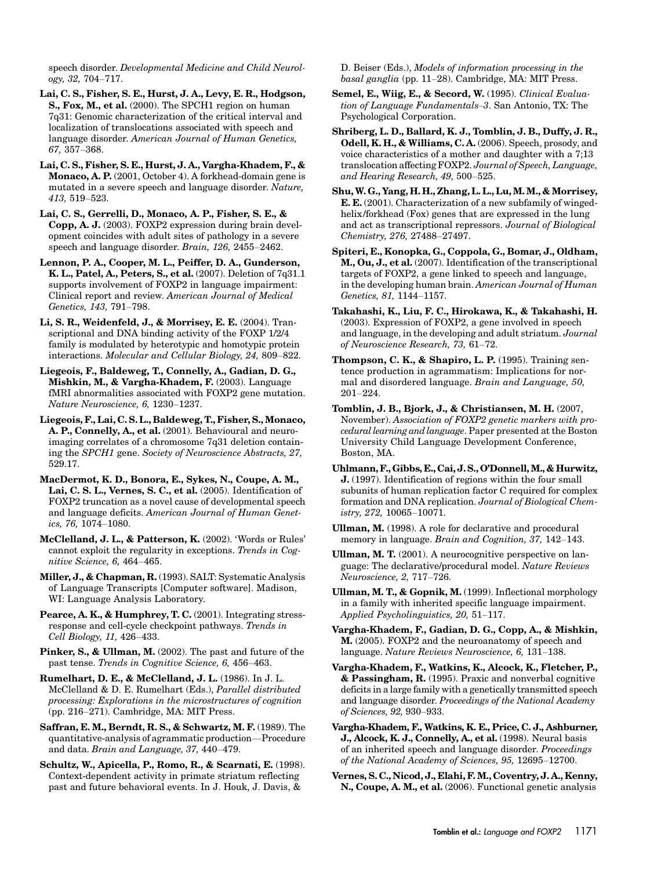speech disorder. Developmental Medicine and Child Neurology, 32, 704–717.

Lai, C. S., Fisher, S. E., Hurst, J. A., Levy, E. R., Hodgson, S., Fox, M., et al. (2000). The SPCH1 region on human 7q31: Genomic characterization of the critical interval and localization of translocations associated with speech and language disorder. American Journal of Human Genetics, 67, 357–368.

Lai, C. S., Fisher, S. E., Hurst, J. A., Vargha-Khadem, F., & Monaco, A. P. (2001, October 4). A forkhead-domain gene is mutated in a severe speech and language disorder. Nature, 413, 519–523.

Lai, C. S., Gerrelli, D., Monaco, A. P., Fisher, S. E., & Copp, A. J. (2003). FOXP2 expression during brain development coincides with adult sites of pathology in a severe speech and language disorder. Brain, 126, 2455–2462.

Lennon, P. A., Cooper, M. L., Peiffer, D. A., Gunderson, K. L., Patel, A., Peters, S., et al. (2007). Deletion of 7q31.1 supports involvement of FOXP2 in language impairment: Clinical report and review. American Journal of Medical Genetics, 143, 791–798.

Li, S. R., Weidenfeld, J., & Morrisey, E. E. (2004). Transcriptional and DNA binding activity of the FOXP 1/2/4 family is modulated by heterotypic and homotypic protein interactions. Molecular and Cellular Biology, 24, 809–822.

Liegeois, F., Baldeweg, T., Connelly, A., Gadian, D. G., Mishkin, M., & Vargha-Khadem, F. (2003). Language fMRI abnormalities associated with FOXP2 gene mutation. Nature Neuroscience, 6, 1230–1237.

Liegeois, F., Lai, C. S. L., Baldeweg, T., Fisher, S., Monaco, A. P., Connelly, A., et al. (2001). Behavioural and neuroimaging correlates of a chromosome 7q31 deletion containing the SPCH1 gene. Society of Neuroscience Abstracts, 27, 529.17.

MacDermot, K. D., Bonora, E., Sykes, N., Coupe, A. M., Lai, C. S. L., Vernes, S. C., et al. (2005). Identification of FOXP2 truncation as a novel cause of developmental speech and language deficits. American Journal of Human Genetics, 76, 1074–1080.

McClelland, J. L., & Patterson, K. (2002). 'Words or Rules' cannot exploit the regularity in exceptions. Trends in Cognitive Science, 6, 464–465.

Miller, J., & Chapman, R. (1993). SALT: Systematic Analysis of Language Transcripts [Computer software]. Madison, WI: Language Analysis Laboratory.

Pearce, A. K., & Humphrey, T. C. (2001). Integrating stressresponse and cell-cycle checkpoint pathways. Trends in Cell Biology, 11, 426–433.

Pinker, S., & Ullman, M. (2002). The past and future of the past tense. Trends in Cognitive Science, 6, 456–463.

Rumelhart, D. E., & McClelland, J. L. (1986). In J. L. McClelland & D. E. Rumelhart (Eds.), Parallel distributed processing: Explorations in the microstructures of cognition (pp. 216–271). Cambridge, MA: MIT Press.

Saffran, E. M., Berndt, R. S., & Schwartz, M. F. (1989). The quantitative-analysis of agrammatic production—Procedure and data. Brain and Language, 37, 440–479.

Schultz, W., Apicella, P., Romo, R., & Scarnati, E. (1998). Context-dependent activity in primate striatum reflecting past and future behavioral events. In J. Houk, J. Davis, &

D. Beiser (Eds.), Models of information processing in the basal ganglia (pp. 11–28). Cambridge, MA: MIT Press.

Semel, E., Wiig, E., & Secord, W. (1995). Clinical Evaluation of Language Fundamentals–3. San Antonio, TX: The Psychological Corporation.

Shriberg, L. D., Ballard, K. J., Tomblin, J. B., Duffy, J. R., Odell, K. H., & Williams, C. A. (2006). Speech, prosody, and voice characteristics of a mother and daughter with a 7;13 translocation affecting FOXP2. Journal of Speech, Language, and Hearing Research, 49, 500–525.

Shu, W. G., Yang, H. H., Zhang, L. L., Lu, M. M., & Morrisey, E. E. (2001). Characterization of a new subfamily of wingedhelix/forkhead (Fox) genes that are expressed in the lung and act as transcriptional repressors. Journal of Biological Chemistry, 276, 27488–27497.

Spiteri, E., Konopka, G., Coppola, G., Bomar, J., Oldham, M., Ou, J., et al. (2007). Identification of the transcriptional targets of FOXP2, a gene linked to speech and language, in the developing human brain. American Journal of Human Genetics, 81, 1144–1157.

Takahashi, K., Liu, F. C., Hirokawa, K., & Takahashi, H. (2003). Expression of FOXP2, a gene involved in speech and language, in the developing and adult striatum. Journal of Neuroscience Research, 73, 61–72.

Thompson, C. K., & Shapiro, L. P. (1995). Training sentence production in agrammatism: Implications for normal and disordered language. Brain and Language, 50, 201–224.

Tomblin, J. B., Bjork, J., & Christiansen, M. H. (2007, November). Association of FOXP2 genetic markers with procedural learning and language. Paper presented at the Boston University Child Language Development Conference, Boston, MA.

Uhlmann, F., Gibbs, E., Cai, J. S., O*'*Donnell, M., & Hurwitz, J. (1997). Identification of regions within the four small subunits of human replication factor C required for complex formation and DNA replication. Journal of Biological Chemistry, 272, 10065–10071.

Ullman, M. (1998). A role for declarative and procedural memory in language. Brain and Cognition, 37, 142–143.

Ullman, M. T. (2001). A neurocognitive perspective on language: The declarative/procedural model. Nature Reviews Neuroscience, 2, 717–726.

Ullman, M. T., & Gopnik, M. (1999). Inflectional morphology in a family with inherited specific language impairment. Applied Psycholinguistics, 20, 51–117.

Vargha-Khadem, F., Gadian, D. G., Copp, A., & Mishkin, M. (2005). FOXP2 and the neuroanatomy of speech and language. Nature Reviews Neuroscience, 6, 131–138.

Vargha-Khadem, F., Watkins, K., Alcock, K., Fletcher, P., & Passingham, R. (1995). Praxic and nonverbal cognitive deficits in a large family with a genetically transmitted speech and language disorder. Proceedings of the National Academy of Sciences, 92, 930–933.

Vargha-Khadem, F., Watkins, K. E., Price, C. J., Ashburner, J., Alcock, K. J., Connelly, A., et al. (1998). Neural basis of an inherited speech and language disorder. Proceedings of the National Academy of Sciences, 95, 12695–12700.

Vernes, S. C., Nicod, J., Elahi, F. M., Coventry, J. A., Kenny, N., Coupe, A. M., et al. (2006). Functional genetic analysis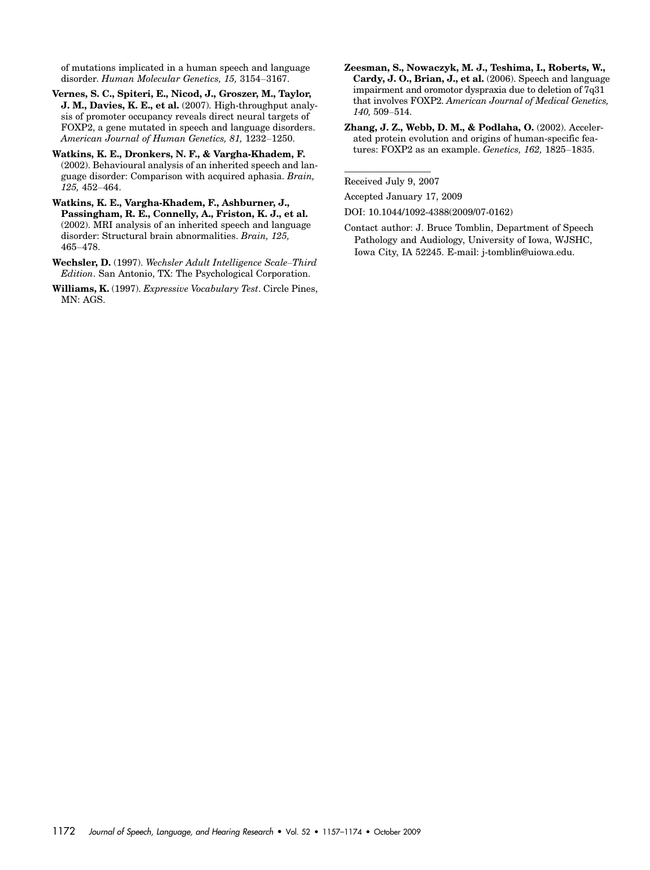of mutations implicated in a human speech and language disorder. Human Molecular Genetics, 15, 3154–3167.

- Vernes, S. C., Spiteri, E., Nicod, J., Groszer, M., Taylor, J. M., Davies, K. E., et al. (2007). High-throughput analysis of promoter occupancy reveals direct neural targets of FOXP2, a gene mutated in speech and language disorders. American Journal of Human Genetics, 81, 1232–1250.
- Watkins, K. E., Dronkers, N. F., & Vargha-Khadem, F. (2002). Behavioural analysis of an inherited speech and language disorder: Comparison with acquired aphasia. Brain, 125, 452–464.
- Watkins, K. E., Vargha-Khadem, F., Ashburner, J., Passingham, R. E., Connelly, A., Friston, K. J., et al. (2002). MRI analysis of an inherited speech and language disorder: Structural brain abnormalities. Brain, 125, 465–478.
- Wechsler, D. (1997). Wechsler Adult Intelligence Scale–Third Edition. San Antonio, TX: The Psychological Corporation.
- Williams, K. (1997). Expressive Vocabulary Test. Circle Pines, MN: AGS.
- Zeesman, S., Nowaczyk, M. J., Teshima, I., Roberts, W., Cardy, J. O., Brian, J., et al. (2006). Speech and language impairment and oromotor dyspraxia due to deletion of 7q31 that involves FOXP2. American Journal of Medical Genetics, 140, 509–514.
- Zhang, J. Z., Webb, D. M., & Podlaha, O. (2002). Accelerated protein evolution and origins of human-specific features: FOXP2 as an example. Genetics, 162, 1825–1835.

Received July 9, 2007

Accepted January 17, 2009

DOI: 10.1044/1092-4388(2009/07-0162)

Contact author: J. Bruce Tomblin, Department of Speech Pathology and Audiology, University of Iowa, WJSHC, Iowa City, IA 52245. E-mail: j-tomblin@uiowa.edu.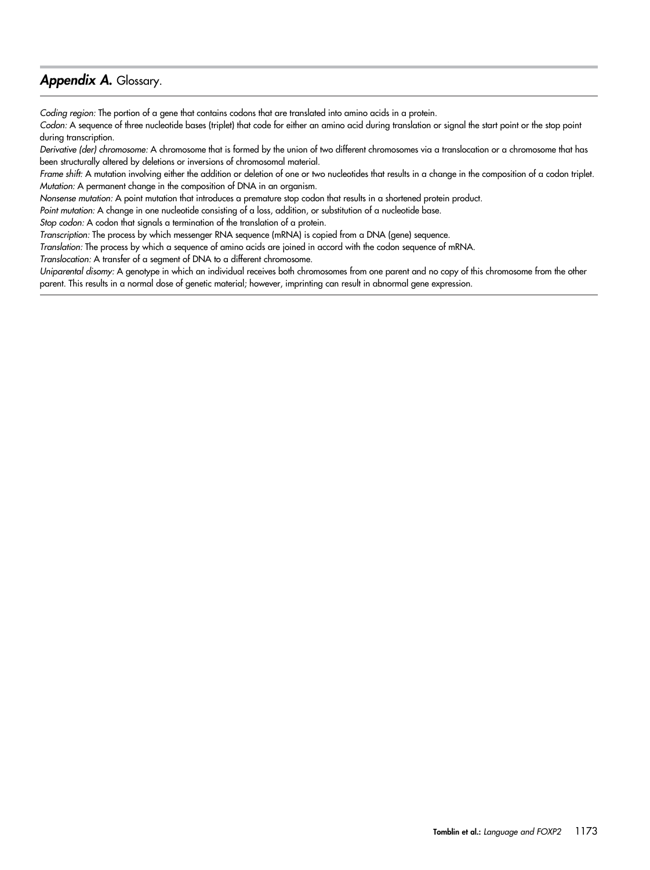#### Appendix A. Glossary.

Coding region: The portion of a gene that contains codons that are translated into amino acids in a protein.

Codon: A sequence of three nucleotide bases (triplet) that code for either an amino acid during translation or signal the start point or the stop point during transcription.

Derivative (der) chromosome: A chromosome that is formed by the union of two different chromosomes via a translocation or a chromosome that has been structurally altered by deletions or inversions of chromosomal material.

Frame shift: A mutation involving either the addition or deletion of one or two nucleotides that results in a change in the composition of a codon triplet. Mutation: A permanent change in the composition of DNA in an organism.

Nonsense mutation: A point mutation that introduces a premature stop codon that results in a shortened protein product.

Point mutation: A change in one nucleotide consisting of a loss, addition, or substitution of a nucleotide base.

Stop codon: A codon that signals a termination of the translation of a protein.

Transcription: The process by which messenger RNA sequence (mRNA) is copied from a DNA (gene) sequence.

Translation: The process by which a sequence of amino acids are joined in accord with the codon sequence of mRNA.

Translocation: A transfer of a segment of DNA to a different chromosome.

Uniparental disomy: A genotype in which an individual receives both chromosomes from one parent and no copy of this chromosome from the other parent. This results in a normal dose of genetic material; however, imprinting can result in abnormal gene expression.